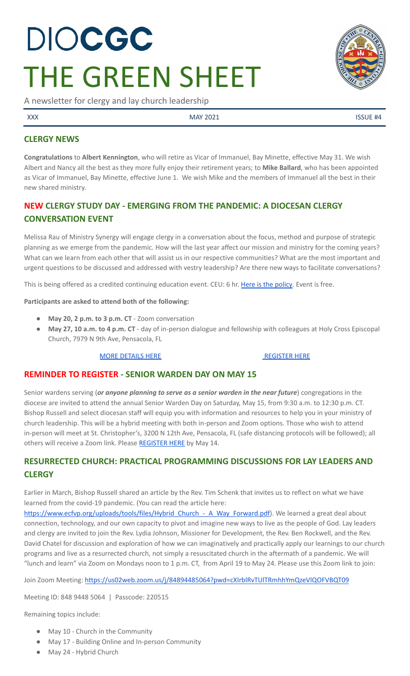# DIOCGC THE GREEN SHEET

A newsletter for clergy and lay church leadership

XXX ASSUE #4

# **CLERGY NEWS**

**Congratulations** to **Albert Kennington**, who will retire as Vicar of Immanuel, Bay Minette, effective May 31. We wish Albert and Nancy all the best as they more fully enjoy their retirement years; to **Mike Ballard**, who has been appointed as Vicar of Immanuel, Bay Minette, effective June 1. We wish Mike and the members of Immanuel all the best in their new shared ministry.

# **NEW CLERGY STUDY DAY - EMERGING FROM THE PANDEMIC: A DIOCESAN CLERGY CONVERSATION EVENT**

Melissa Rau of Ministry Synergy will engage clergy in a conversation about the focus, method and purpose of strategic planning as we emerge from the pandemic. How will the last year affect our mission and ministry for the coming years? What can we learn from each other that will assist us in our respective communities? What are the most important and urgent questions to be discussed and addressed with vestry leadership? Are there new ways to facilitate conversations?

This is being offered as a credited continuing education event. CEU: 6 hr. Here is the [policy.](https://2f23db9c-81c0-437f-88c1-0d3b99fdb03d.filesusr.com/ugd/4525a9_687d78e0a69a4fc88dbd9fad18dd7beb.pdf) Event is free.

**Participants are asked to attend both of the following:**

- **May 20, 2 p.m. to 3 p.m. CT** Zoom conversation
- **May 27, 10 a.m. to 4 p.m. CT** day of in-person dialogue and fellowship with colleagues at Holy Cross Episcopal Church, 7979 N 9th Ave, Pensacola, FL

#### MORE [DETAILS](https://www.diocgc.org/post/emerging-from-the-pandemic-a-diocesan-clergy-conversation-event) HERE **[REGISTER](https://us02web.zoom.us/meeting/register/tZAtdeyurT4sHtGNsYG_s--3Nu1mQAvr749B) HERE**

## **REMINDER TO REGISTER - SENIOR WARDEN DAY ON MAY 15**

Senior wardens serving (*or anyone planning to serve as a senior warden in the near future*) congregations in the diocese are invited to attend the annual Senior Warden Day on Saturday, May 15, from 9:30 a.m. to 12:30 p.m. CT. Bishop Russell and select diocesan staff will equip you with information and resources to help you in your ministry of church leadership. This will be a hybrid meeting with both in-person and Zoom options. Those who wish to attend in-person will meet at St. Christopher's, 3200 N 12th Ave, Pensacola, FL (safe distancing protocols will be followed); all others will receive a Zoom link. Please [REGISTER](https://forms.gle/9nZqrS2hJCbLsiZE8) HERE by May 14.

# **RESURRECTED CHURCH: PRACTICAL PROGRAMMING DISCUSSIONS FOR LAY LEADERS AND CLERGY**

Earlier in March, Bishop Russell shared an article by the Rev. Tim Schenk that invites us to reflect on what we have learned from the covid-19 pandemic. (You can read the article here:

https://www.ecfvp.org/uploads/tools/files/Hybrid Church - A Way Forward.pdf). We learned a great deal about connection, technology, and our own capacity to pivot and imagine new ways to live as the people of God. Lay leaders and clergy are invited to join the Rev. Lydia Johnson, Missioner for Development, the Rev. Ben Rockwell, and the Rev. David Chatel for discussion and exploration of how we can imaginatively and practically apply our learnings to our church programs and live as a resurrected church, not simply a resuscitated church in the aftermath of a pandemic. We will "lunch and learn" via Zoom on Mondays noon to 1 p.m. CT, from April 19 to May 24. Please use this Zoom link to join:

Join Zoom Meeting: <https://us02web.zoom.us/j/84894485064?pwd=cXIrblRvTUlTRmhhYmQzeVlQOFVBQT09>

Meeting ID: 848 9448 5064 | Passcode: 220515

Remaining topics include:

- May 10 Church in the Community
- May 17 Building Online and In-person Community
- May 24 Hybrid Church

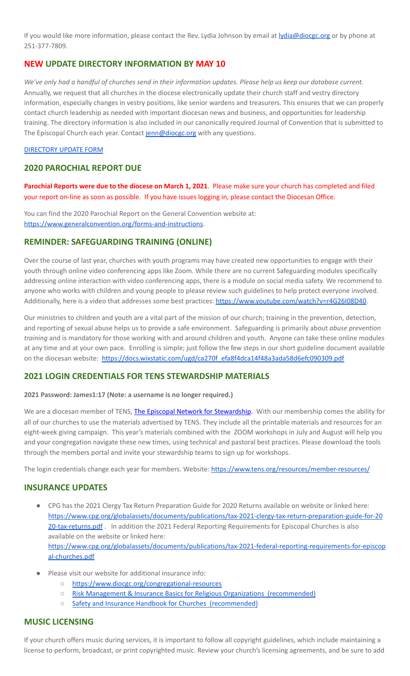If you would like more information, please contact the Rev. Lydia Johnson by email at **[lydia@diocgc.org](mailto:lydia@diocgc.org)** or by phone at 251-377-7809.

# **NEW UPDATE DIRECTORY INFORMATION BY MAY 10**

We've only had a handful of churches send in their information updates. Please help us keep our database current. Annually, we request that all churches in the diocese electronically update their church staff and vestry directory information, especially changes in vestry positions, like senior wardens and treasurers. This ensures that we can properly contact church leadership as needed with important diocesan news and business, and opportunities for leadership training. The directory information is also included in our canonically required Journal of Convention that is submitted to The Episcopal Church each year. Contact [jenn@diocgc.org](mailto:jenn@diocgc.org) with any questions.

#### [DIRECTORY](https://www.emailmeform.com/builder/form/eji270wUd6T49) UPDATE FORM

## **2020 PAROCHIAL REPORT DUE**

**Parochial Reports were due to the diocese on March 1, 2021**. Please make sure your church has completed and filed your report on-line as soon as possible. If you have issues logging in, please contact the Diocesan Office.

You can find the 2020 Parochial Report on the General Convention website at: <https://www.generalconvention.org/forms-and-instructions>.

#### **REMINDER: SAFEGUARDING TRAINING (ONLINE)**

Over the course of last year, churches with youth programs may have created new opportunities to engage with their youth through online video conferencing apps like Zoom. While there are no current Safeguarding modules specifically addressing online interaction with video conferencing apps, there is a module on social media safety. We recommend to anyone who works with children and young people to please review such guidelines to help protect everyone involved. Additionally, here is a video that addresses some best practices: [https://www.youtube.com/watch?v=r4G26I08D40.](https://www.youtube.com/watch?v=r4G26I08D40)

Our ministries to children and youth are a vital part of the mission of our church; training in the prevention, detection, and reporting of sexual abuse helps us to provide a safe environment. Safeguarding is primarily about *abuse prevention training* and is mandatory for those working with and around children and youth. Anyone can take these online modules at any time and at your own pace. Enrolling is simple; just follow the few steps in our short guideline document available on the diocesan website: [https://docs.wixstatic.com/ugd/ca270f\\_efa8f4dca14f48a3ada58d6efc090309.pdf](https://docs.wixstatic.com/ugd/ca270f_efa8f4dca14f48a3ada58d6efc090309.pdf)

## **2021 LOGIN CREDENTIALS FOR TENS STEWARDSHIP MATERIALS**

**2021 Password: James1:17 (Note: a username is no longer required.)**

We are a diocesan member of TENS, The Episcopal Network for [Stewardship.](http://r20.rs6.net/tn.jsp?f=0012pqt_t4bfTKnRF8Xmufb-M4Ry8JkNpVzuf-DfMr466n2fJlrEabEgWXavWDn2Hx3i5ph5cMsQu0KkvBM2IIao7IcazXgBLtGdZrXLuo4poO7i2eq_EiuExGDSC-wd1a3AjKcDRDPj18=&c=9_JBIUfw9Y9WIzA02dVBmW_Dc5eF3SbOEA5-vLB-MbLj0nQWfaMvNg==&ch=bNQQUmRhILUjCbu1RkHCQ0rqqsD1-RBYprcIQ3NuhLlaKPcsXS1TyQ==) With our membership comes the ability for all of our churches to use the materials advertised by TENS. They include all the printable materials and resources for an eight-week giving campaign. This year's materials combined with the ZOOM workshops in July and August will help you and your congregation navigate these new times, using technical and pastoral best practices. Please download the tools through the members portal and invite your stewardship teams to sign up for workshops.

The login credentials change each year for members. Website: <https://www.tens.org/resources/member-resources/>

#### **INSURANCE UPDATES**

- CPG has the 2021 Clergy Tax Return Preparation Guide for 2020 Returns available on website or linked here: [https://www.cpg.org/globalassets/documents/publications/tax-2021-clergy-tax-return-preparation-guide-for-20](https://www.cpg.org/globalassets/documents/publications/tax-2021-clergy-tax-return-preparation-guide-for-2020-tax-returns.pdf) [20-tax-returns.pdf](https://www.cpg.org/globalassets/documents/publications/tax-2021-clergy-tax-return-preparation-guide-for-2020-tax-returns.pdf) . In addition the 2021 Federal Reporting Requirements for Episcopal Churches is also available on the website or linked here: [https://www.cpg.org/globalassets/documents/publications/tax-2021-federal-reporting-requirements-for-episcop](https://www.cpg.org/globalassets/documents/publications/tax-2021-federal-reporting-requirements-for-episcopal-churches.pdf) [al-churches.pdf](https://www.cpg.org/globalassets/documents/publications/tax-2021-federal-reporting-requirements-for-episcopal-churches.pdf)
- Please visit our website for additional insurance info:
	- <https://www.diocgc.org/congregational-resources>
	- Risk Management & Insurance Basics for Religious Organizations [\(recommended\)](https://2f23db9c-81c0-437f-88c1-0d3b99fdb03d.filesusr.com/ugd/ca270f_0fc945a39bad470191c4075c97602c08.pdf)
	- Safety and Insurance Handbook for Churches [\(recommended\)](https://2f23db9c-81c0-437f-88c1-0d3b99fdb03d.filesusr.com/ugd/4525a9_6b89020a60b040f49e2f7feb44b56873.pdf)

#### **MUSIC LICENSING**

If your church offers music during services, it is important to follow all copyright guidelines, which include maintaining a license to perform, broadcast, or print copyrighted music. Review your church's licensing agreements, and be sure to add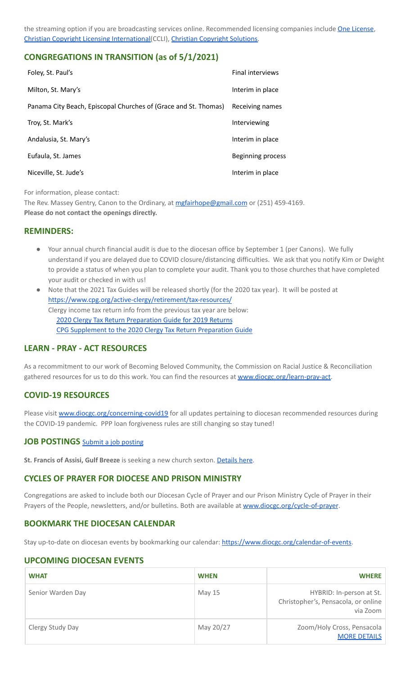the streaming option if you are broadcasting services online. Recommended licensing companies include One [License](https://onelicense.net/), Christian Copyright Licensing [International\(](https://us.ccli.com/)CCLI), Christian [Copyright](https://christiancopyrightsolutions.com/) Solutions.

## **CONGREGATIONS IN TRANSITION (as of 5/1/2021)**

| Foley, St. Paul's                                               | <b>Final interviews</b> |
|-----------------------------------------------------------------|-------------------------|
| Milton, St. Mary's                                              | Interim in place        |
| Panama City Beach, Episcopal Churches of (Grace and St. Thomas) | Receiving names         |
| Troy, St. Mark's                                                | Interviewing            |
| Andalusia, St. Mary's                                           | Interim in place        |
| Eufaula, St. James                                              | Beginning process       |
| Niceville, St. Jude's                                           | Interim in place        |

For information, please contact:

The Rev. Massey Gentry, Canon to the Ordinary, at [mgfairhope@gmail.com](mailto:mgfairhope@gmail.com) or (251) 459-4169. **Please do not contact the openings directly.**

#### **REMINDERS:**

- Your annual church financial audit is due to the diocesan office by September 1 (per Canons). We fully understand if you are delayed due to COVID closure/distancing difficulties. We ask that you notify Kim or Dwight to provide a status of when you plan to complete your audit. Thank you to those churches that have completed your audit or checked in with us!
- Note that the 2021 Tax Guides will be released shortly (for the 2020 tax year). It will be posted at <https://www.cpg.org/active-clergy/retirement/tax-resources/> Clergy income tax return info from the previous tax year are below: 2020 Clergy Tax Return [Preparation](https://www.cpg.org/linkservid/D998735C-CE21-6189-EB815B133ECD868A/showMeta/0/?label=2020%20Clergy%20Tax%20Return%20Preparation%20Guide%20for%202019%20Tax%20Returns) Guide for 2019 Returns CPG [Supplement](https://www.cpg.org/linkservid/DA0301BC-D8CF-06D3-C4C6BAB106394432/showMeta/0/?label=Supplement%20to%20the%202020%20Clergy%20Tax%20Return%20Preparation%20Guide%20for%202019%20Returns) to the 2020 Clergy Tax Return Preparation Guide

## **LEARN - PRAY - ACT RESOURCES**

As a recommitment to our work of Becoming Beloved Community, the Commission on Racial Justice & Reconciliation gathered resources for us to do this work. You can find the resources at [www.diocgc.org/learn-pray-act.](http://www.diocgcorg/learn-pray-act)

## **COVID-19 RESOURCES**

Please visit [www.diocgc.org/concerning-covid19](http://www.diocgc.org/concerning-covid19) for all updates pertaining to diocesan recommended resources during the COVID-19 pandemic. PPP loan forgiveness rules are still changing so stay tuned!

#### **JOB POSTINGS** Submit a job [posting](https://www.emailmeform.com/builder/form/0cZqC653GdH24p01aWQDfUh)

**St. Francis of Assisi, Gulf Breeze** is seeking a new church sexton. [Details](https://www.diocgc.org/post/st-francis-of-assisi-gulf-breeze-is-seeking-new-church-sexton) here.

## **CYCLES OF PRAYER FOR DIOCESE AND PRISON MINISTRY**

Congregations are asked to include both our Diocesan Cycle of Prayer and our Prison Ministry Cycle of Prayer in their Prayers of the People, newsletters, and/or bulletins. Both are available at **[www.diocgc.org/cycle-of-prayer](http://www.diocgc.org/cycle-of-prayer)**.

## **BOOKMARK THE DIOCESAN CALENDAR**

Stay up-to-date on diocesan events by bookmarking our calendar: [https://www.diocgc.org/calendar-of-events.](https://www.diocgc.org/calendar-of-events)

#### **UPCOMING DIOCESAN EVENTS**

| <b>WHAT</b>       | <b>WHEN</b>   | <b>WHERE</b>                                                                |
|-------------------|---------------|-----------------------------------------------------------------------------|
| Senior Warden Day | <b>May 15</b> | HYBRID: In-person at St.<br>Christopher's, Pensacola, or online<br>via Zoom |
| Clergy Study Day  | May 20/27     | Zoom/Holy Cross, Pensacola<br><b>MORE DETAILS</b>                           |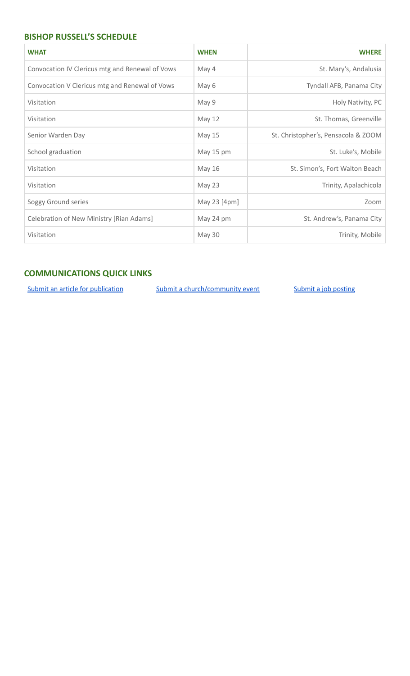# **BISHOP RUSSELL'S SCHEDULE**

| <b>WHAT</b>                                     | <b>WHEN</b>   | <b>WHERE</b>                        |
|-------------------------------------------------|---------------|-------------------------------------|
| Convocation IV Clericus mtg and Renewal of Vows | May 4         | St. Mary's, Andalusia               |
| Convocation V Clericus mtg and Renewal of Vows  | May 6         | Tyndall AFB, Panama City            |
| Visitation                                      | May 9         | Holy Nativity, PC                   |
| Visitation                                      | May 12        | St. Thomas, Greenville              |
| Senior Warden Day                               | <b>May 15</b> | St. Christopher's, Pensacola & ZOOM |
| School graduation                               | May 15 pm     | St. Luke's, Mobile                  |
| Visitation                                      | <b>May 16</b> | St. Simon's, Fort Walton Beach      |
| Visitation                                      | May 23        | Trinity, Apalachicola               |
| Soggy Ground series                             | May 23 [4pm]  | Zoom                                |
| Celebration of New Ministry [Rian Adams]        | May 24 pm     | St. Andrew's, Panama City           |
| Visitation                                      | May 30        | Trinity, Mobile                     |

# **COMMUNICATIONS QUICK LINKS**

Submit an article for [publication](http://www.emailmeform.com/builder/form/XqOP984Ae60c8m6ynr) Submit a [church/community](http://www.emailmeform.com/builder/form/eOM4Bb6VTb78y20Wrapf8) event Submit a job [posting](https://www.emailmeform.com/builder/form/0cZqC653GdH24p01aWQDfUh)